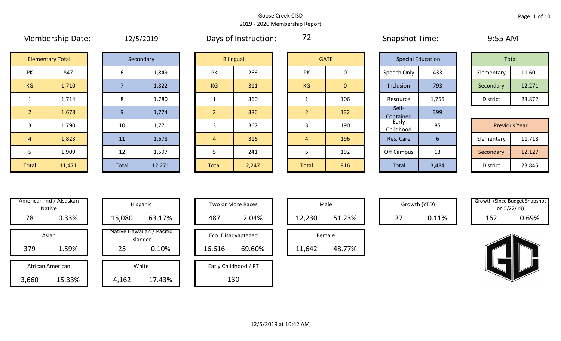|                |                         |  |                |           |                |                  |                |                | <b>SHAPSHOL LINING</b> |                          | --- <i>--</i> ----   |        |
|----------------|-------------------------|--|----------------|-----------|----------------|------------------|----------------|----------------|------------------------|--------------------------|----------------------|--------|
|                | <b>Elementary Total</b> |  |                | Secondary |                | <b>Bilingual</b> |                | <b>GATE</b>    |                        | <b>Special Education</b> | Total                |        |
| PK             | 847                     |  | 6              | 1,849     | PK             | 266              | PK             | 0              | Speech Only            | 433                      | Elementary           | 11,601 |
| KG             | 1,710                   |  | $\overline{7}$ | 1,822     | <b>KG</b>      | 311              | KG             | $\overline{0}$ | Inclusion              | 793                      | Secondary            | 12,271 |
| $\mathbf{1}$   | 1,714                   |  | 8              | 1,780     |                | 360              |                | 106            | Resource               | 1,755                    | District             | 23,872 |
| 2 <sup>1</sup> | 1,678                   |  | 9              | 1,774     | $\overline{2}$ | 386              | 2 <sup>1</sup> | 132            | Self-<br>Contained     | 399                      |                      |        |
| 3              | 1,790                   |  | 10             | 1,771     | 3              | 367              | 3              | 190            | Early<br>Childhood     | 85                       | <b>Previous Year</b> |        |
| $\overline{4}$ | 1,823                   |  | 11             | 1,678     | $\overline{4}$ | 316              | 4              | 196            | Res. Care              | 6                        | Elementary           | 11,718 |
| 5              | 1,909                   |  | 12             | 1,597     | 5              | 241              | 5              | 192            | Off Campus             | 13                       | Secondary            | 12,127 |
| Total          | 11,471                  |  | Total          | 12,271    | Total          | 2,247            | Total          | 816            | Total                  | 3,484                    | District             | 23,845 |

Membership Date:  $12/5/2019$  Days of Instruction: 72 Snapshot Time: 9:55 AM

72

|                      | <b>Elementary Total</b> |  | Secondary |           | <b>Bilingual</b> |           | <b>GATE</b> |             | <b>Special Education</b> | Total      |        |
|----------------------|-------------------------|--|-----------|-----------|------------------|-----------|-------------|-------------|--------------------------|------------|--------|
| ∕ו ר<br>$\mathbf{v}$ | 847                     |  | 1,849     | 266<br>PK |                  | PK        |             | Speech Only | 433                      | Elementary | 11,601 |
| G                    | 1,710                   |  | 1,822     | <b>KG</b> | 311              | <b>KG</b> | 0           | Inclusion   | 793                      | Secondary  | 12,271 |
|                      | 1,714                   |  | 1,780     |           | 360              |           | 106         | Resource    | 1,755                    | District   | 23,872 |

|             |        |       |        |       |       |              |     | __________         |       |                      |        |
|-------------|--------|-------|--------|-------|-------|--------------|-----|--------------------|-------|----------------------|--------|
|             | 1,790  | 10    | 1,771  |       | 367   |              | 190 | Early<br>Childhood | 85    | <b>Previous Year</b> |        |
|             | 1,823  | 11    | 1,678  |       | 316   |              | 196 | Res. Care          |       | Elementary           | 11,718 |
|             | 1,909  | 12    | 1,597  |       | 241   |              | 192 | Off Campus         | 13    | Secondary            | 12,127 |
| <b>otal</b> | 11,471 | Total | 12,271 | Total | 2,247 | <b>Total</b> | 816 | Total              | 3,484 | District             | 23,845 |

|       | American Ind / Alsaskan<br><b>Native</b> |        | Hispanic                              |
|-------|------------------------------------------|--------|---------------------------------------|
| 78    | 0.33%                                    | 15,080 | 63.17%                                |
|       | Asian                                    |        | Native Hawaiian / Pacific<br>Islander |
| 379   | 1.59%                                    | 25     | 0.10%                                 |
|       | African American                         |        | White                                 |
| 3,660 | 15.33%                                   | 4,162  | 17.43%                                |

|      | merican Ind / Alsaskan<br>Native |        | Hispanic                              |        | Two or More Races    |        | Male   |    | Growth (YTD) | <b>Growth (Since Budget Snaps)</b><br>on 5/22/19) |       |
|------|----------------------------------|--------|---------------------------------------|--------|----------------------|--------|--------|----|--------------|---------------------------------------------------|-------|
| 78   | 0.33%                            | 15,080 | 63.17%                                | 487    | 2.04%                | 12,230 | 51.23% | 27 | 0.11%        | 162                                               | 0.69% |
|      | Asian                            |        | Native Hawaiian / Pacific<br>Islander |        | Eco. Disadvantaged   |        | Female |    |              |                                                   |       |
| 379  | 1.59%                            | 25     | 0.10%                                 | 16,616 | 69.60%               | 11,642 | 48.77% |    |              |                                                   |       |
|      | African American                 |        | White                                 |        | Early Childhood / PT |        |        |    |              |                                                   |       |
| .660 | 15.33%                           | 4,162  | 17.43%                                |        | 130                  |        |        |    |              |                                                   |       |

| Hispanic                       |        | Two or More Races    |        | Male   |
|--------------------------------|--------|----------------------|--------|--------|
| 63.17%                         | 487    | 2.04%                | 12,230 |        |
| lawaiian / Pacific<br>Islander |        | Eco. Disadvantaged   |        | Female |
| 0.10%                          | 16,616 | 69.60%               | 11,642 |        |
| White                          |        | Early Childhood / PT |        |        |
| 17.43%                         |        | 130                  |        |        |

|        | Male   |  |
|--------|--------|--|
| 12,230 | 51.23% |  |
|        | Female |  |
| 11,642 | 48.77% |  |

Growth (YTD) Growth (Since Budget Snapshot on 5/22/19)

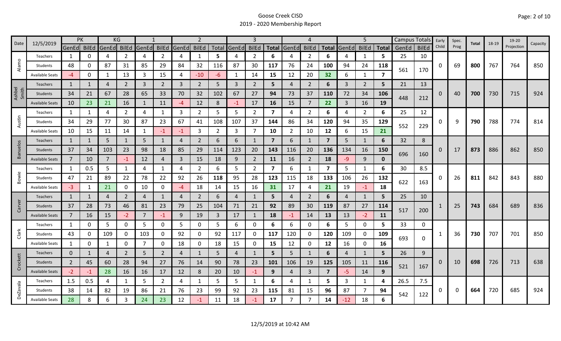| 12/5/2019<br>Date |                        |                | PK           |                | KG             |                |                |                | $\mathcal{P}$  |                |                   | 3              |                         |                | 4              |                         |       | 5              |              | Campus Totals |              | Early    | Spec. | Total | 18-19 | 19-20      |          |
|-------------------|------------------------|----------------|--------------|----------------|----------------|----------------|----------------|----------------|----------------|----------------|-------------------|----------------|-------------------------|----------------|----------------|-------------------------|-------|----------------|--------------|---------------|--------------|----------|-------|-------|-------|------------|----------|
|                   |                        | GenEd BilEd    |              | GenEd          | BilEd          | GenEd BilEd    |                | GenEd          | <b>BilEd</b>   |                | Total GenEd BilEd |                |                         | Total GenEd    | <b>BilEd</b>   | <b>Total</b>            | GenEd | <b>BilEd</b>   | <b>Total</b> | GenEd         | <b>BilEd</b> | Child    | Prog  |       |       | Projection | Capacity |
|                   | Teachers               | 1              | 0            | 4              | $\overline{2}$ | 4              | $\overline{2}$ | 4              | $\mathbf{1}$   | 5              | 4                 | 2              | 6                       | 4              | 2              | 6                       |       | 1              | 5            | 25            | 10           |          |       |       |       |            |          |
| Alamo             | Students               | 48             | U            | 87             | 31             | 85             | 29             | 84             | 32             | 116            | 87                | 30             | 117                     | 76             | 24             | 100                     | 94    | 24             | 118          |               |              | 0        | 69    | 800   | 767   | 764        | 850      |
|                   | <b>Available Seats</b> | $-4$           | 0            | 1              | 13             | 3              | 15             | 4              | $-10$          | -6             | 1                 | 14             | 15                      | 12             | 20             | 32                      | 6     | $\mathbf{1}$   | 7            | 561           | 170          |          |       |       |       |            |          |
|                   | Teachers               | 1              | 1            | 4              | $\overline{2}$ | $\overline{3}$ | $\overline{2}$ | $\overline{3}$ | $2^{\circ}$    | 5              | $\overline{3}$    | $\overline{2}$ | 5                       | $\overline{4}$ | $\overline{2}$ | 6                       | 3     | $\overline{2}$ | 5            | 21            | 13           |          |       |       |       |            |          |
| Ashbel<br>Smith   | Students               | 34             | 21           | 67             | 28             | 65             | 33             | 70             | 32             | 102            | 67                | 27             | 94                      | 73             | 37             | 110                     | 72    | 34             | 106          |               |              | $\Omega$ | 40    | 700   | 730   | 715        | 924      |
|                   | <b>Available Seats</b> | 10             | 23           | 21             | 16             |                | 11             | $-4$           | 12             | 8              | $-1$              | 17             | 16                      | 15             | 7              | 22                      | 3     | 16             | 19           | 448           | 212          |          |       |       |       |            |          |
|                   | Teachers               | 1              | 1            | 4              | $\mathbf{2}$   | 4              | 1              | 3              | $\overline{2}$ | 5              | 5                 | $\overline{2}$ | 7                       | 4              | $\overline{2}$ | 6                       | 4     | $\overline{2}$ | 6            | 25            | 12           |          |       |       |       |            |          |
| Austin            | Students               | 34             | 29           | 77             | 30             | 87             | 23             | 67             | 41             | 108            | 107               | 37             | 144                     | 86             | 34             | 120                     | 94    | 35             | 129          |               |              | 0        | 9     | 790   | 788   | 774        | 814      |
|                   | <b>Available Seats</b> | 10             | 15           | 11             | 14             | 1              | $-1$           | -1             | 3              | $\overline{2}$ | 3                 | 7              | 10                      | $\overline{2}$ | 10             | 12                      | 6     | 15             | 21           | 552           | 229          |          |       |       |       |            |          |
|                   | <b>Teachers</b>        | 1              | $\mathbf{1}$ | 5              | 1              | 5              | 1              | 4              | $\overline{2}$ | 6              | 6                 | 1              | $\overline{7}$          | 6              | 1              | $\overline{\mathbf{z}}$ | 5     | $\mathbf{1}$   | 6            | 32            | 8            |          |       |       |       |            |          |
| Banuelos          | Students               | 37             | 34           | 103            | 23             | 98             | 18             | 85             | 29             | 114            | 123               | 20             | 143                     | 116            | 20             | 136                     | 134   | 16             | <b>150</b>   |               |              | $\Omega$ | 17    | 873   | 886   | 862        | 850      |
|                   | <b>Available Seats</b> | $\overline{7}$ | 10           | $\overline{7}$ | -1             | 12             | 4              | $\overline{3}$ | 15             | 18             | 9                 | $\overline{2}$ | 11                      | 16             | $\overline{2}$ | 18                      | -9    | 9              | O            | 696           | 160          |          |       |       |       |            |          |
|                   | Teachers               | 1              | 0.5          | 5              |                | 4              | $\mathbf{1}$   | 4              | $\overline{2}$ | 6              | 5                 | $\overline{2}$ | $\overline{\mathbf{z}}$ | 6              | -1             | $\overline{\mathbf{z}}$ | 5     | $\mathbf{1}$   | 6            | 30            | 8.5          |          |       |       |       |            |          |
| Bowie             | Students               | 47             | 21           | 89             | 22             | 78             | 22             | 92             | 26             | 118            | 95                | 28             | 123                     | 115            | 18             | 133                     | 106   | 26             | 132          |               |              | 0        | 26    | 811   | 842   | 843        | 880      |
|                   | <b>Available Seats</b> | $-3$           | 1            | 21             | 0              | 10             | 0              | -4             | 18             | 14             | 15                | 16             | 31                      | 17             | 4              | 21                      | 19    | $-1$           | 18           | 622           | 163          |          |       |       |       |            |          |
|                   | Teachers               | $\mathbf{1}$   | 1            | 4              | $\overline{2}$ | $\overline{4}$ | $\mathbf{1}$   | 4              | $\overline{2}$ | 6              | $\overline{4}$    | 1              | 5                       | $\overline{4}$ | $\overline{2}$ | 6                       | 4     | $\mathbf{1}$   | 5            | 25            | 10           |          |       |       |       |            |          |
| Carver            | Students               | 37             | 28           | 73             | 46             | 81             | 23             | 79             | 25             | 104            | 71                | 21             | 92                      | 89             | 30             | 119                     | 87    | 27             | 114          |               |              |          | 25    | 743   | 684   | 689        | 836      |
|                   | <b>Available Seats</b> | $\overline{7}$ | 16           | 15             | $-2$           | 7              | $-1$           | 9              | 19             | $\overline{3}$ | 17                | 1              | 18                      | $-1$           | 14             | 13                      | 13    | $-2$           | 11           | 517           | 200          |          |       |       |       |            |          |
|                   | Teachers               | 1              | 0            | 5              | 0              | 5              | 0              | 5              | 0              | 5              | 6                 | 0              | 6                       | 6              | 0              | 6                       | 5     | 0              | 5.           | 33            | 0            |          |       |       |       |            |          |
| Clark             | Students               | 43             | 0            | 109            | 0              | 103            | 0              | 92             | 0              | 92             | 117               | 0              | 117                     | 120            | 0              | 120                     | 109   | 0              | 109          |               |              |          | 36    | 730   | 707   | 701        | 850      |
|                   | <b>Available Seats</b> | $\mathbf{1}$   | O            | 1              | 0              | $\overline{7}$ | 0              | 18             | $\mathbf 0$    | 18             | 15                | 0              | 15                      | 12             | 0              | 12                      | 16    | $\mathbf 0$    | 16           | 693           | 0            |          |       |       |       |            |          |
|                   | Teachers               | $\mathbf 0$    | 1            | 4              | $\overline{2}$ | 5              | $2^{\circ}$    | 4              | $\mathbf{1}$   | 5              | $\overline{4}$    | 1              | 5                       | 5              | $\mathbf{1}$   | 6                       | 4     | 1              | 5            | 26            | 9            |          |       |       |       |            |          |
| Crockett          | Students               | $\overline{2}$ | 45           | 60             | 28             | 94             | 27             | 76             | 14             | 90             | 78                | 23             | 101                     | 106            | 19             | 125                     | 105   | 11             | <b>116</b>   |               |              | 0        | 10    | 698   | 726   | 713        | 638      |
|                   | <b>Available Seats</b> | $-2$           | $-1$         | 28             | 16             | 16             | 17             | 12             | 8              | 20             | 10                | $-1$           | 9                       | $\overline{4}$ | $\overline{3}$ | $\overline{7}$          | -5    | 14             | 9            | 521           | 167          |          |       |       |       |            |          |
|                   | Teachers               | 1.5            | 0.5          | 4              | 1              | 5              | $\overline{2}$ | 4              | 1              | 5              | 5                 | 1              | 6                       | 4              | -1             | 5.                      | 3     | $\mathbf{1}$   | 4            | 26.5          | 7.5          |          |       |       |       |            |          |
| <b>DeZavala</b>   | Students               | 38             | 14           | 82             | 19             | 86             | 21             | 76             | 23             | 99             | 92                | 23             | 115                     | 81             | 15             | 96                      | 87    | $\overline{7}$ | 94           |               |              | 0        | 0     | 664   | 720   | 685        | 924      |
|                   | Available Seats        | 28             | 8            | 6              |                | 24             | 23             | 12             | $-1$           | 11             | 18                |                | 17                      |                | 7              | 14                      | -12   | 18             | 6            | 542           | 122          |          |       |       |       |            |          |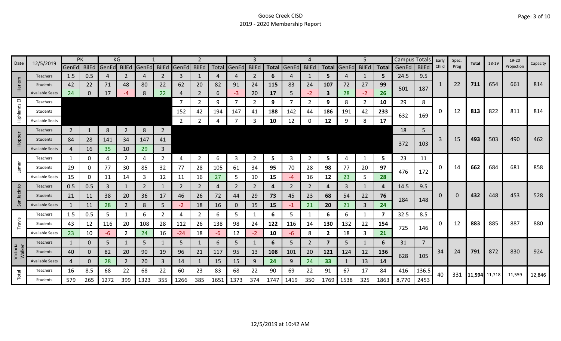| 12/5/2019<br>Date  |                        | PK             |              |       | ΚG             |                |                |                |                |      |                |                |              |                |                |                |                   | 5              |      | Campus Totals |                | Early    | Spec. | Total         | 18-19 | 19-20      | Capacity |
|--------------------|------------------------|----------------|--------------|-------|----------------|----------------|----------------|----------------|----------------|------|----------------|----------------|--------------|----------------|----------------|----------------|-------------------|----------------|------|---------------|----------------|----------|-------|---------------|-------|------------|----------|
|                    |                        | GenEd BilEd    |              | GenEd | BilEd          | GenEd          | <b>BilEd</b>   | GenEd BilEd    |                |      | Total GenEd    | <b>BilEd</b>   | <b>Total</b> | GenEd          | <b>BilEd</b>   |                | Total GenEd BilEd |                |      | Total GenEd   | <b>BilEd</b>   | Child    | Prog  |               |       | Projection |          |
|                    | Teachers               | 1.5            | 0.5          | 4     | 2              | 4              | 2              | 3              | $\mathbf{1}$   |      | 4              | 2              | 6            | 4              | 1              | 5.             | 4                 | 1              | 5    | 24.5          | 9.5            |          |       |               |       |            |          |
| Harlem             | Students               | 42             | 22           | 71    | 48             | 80             | 22             | 62             | 20             | 82   | 91             | 24             | 115          | 83             | 24             | 107            | 72                | 27             | 99   | 501           | 187            | 1        | 22    | 711           | 654   | 661        | 814      |
|                    | <b>Available Seats</b> | 24             | $\mathbf{0}$ | 17    | -4             | 8              | 22             | 4              | $\overline{2}$ | 6    | $-3$           | 20             | 17           | 5              | $-2$           | 3              | 28                | $-2$           | 26   |               |                |          |       |               |       |            |          |
| 画                  | Teachers               |                |              |       |                |                |                |                | $\overline{2}$ | 9    | $\overline{7}$ | $\overline{2}$ | 9            |                | 2              | 9              | 8                 | $\overline{2}$ | 10   | 29            | 8              |          |       |               |       |            |          |
| Highlands          | Students               |                |              |       |                |                |                | 152            | 42             | 194  | 147            | 41             | 188          | 142            | 44             | 186            | 191               | 42             | 233  | 632           | 169            | 0        | 12    | 813           | 822   | 811        | 814      |
|                    | <b>Available Seats</b> |                |              |       |                |                |                | 2              | 2              |      | 7              | 3              | 10           | 12             | $\Omega$       | 12             | 9                 | 8              | 17   |               |                |          |       |               |       |            |          |
|                    | Teachers               | $\overline{2}$ | 1            | 8     | $\overline{2}$ | 8              | $\overline{2}$ |                |                |      |                |                |              |                |                |                |                   |                |      | 18            | 5              |          |       |               |       |            |          |
| Hopper             | Students               | 84             | 28           | 141   | 34             | 147            | 41             |                |                |      |                |                |              |                |                |                |                   |                |      |               |                | 3        | 15    | 493           | 503   | 490        | 462      |
|                    | <b>Available Seats</b> | 4              | 16           | 35    | 10             | 29             | $\mathbf{3}$   |                |                |      |                |                |              |                |                |                |                   |                |      | 372           | 103            |          |       |               |       |            |          |
|                    | Teachers               | 1              | 0            | 4     | $\overline{2}$ | 4              | $\overline{2}$ | 4              | $\overline{2}$ | 6    | 3              | $\overline{2}$ | 5            | 3              | $\overline{2}$ | 5              | 4                 | $\mathbf{1}$   | 5    | 23            | 11             |          |       |               |       |            |          |
| Lamar              | Students               | 29             | 0            | 77    | 30             | 85             | 32             | 77             | 28             | 105  | 61             | 34             | 95           | 70             | 28             | 98             | 77                | 20             | 97   |               |                | 0        | 14    | 662           | 684   | 681        | 858      |
|                    | Available Seats        | 15             | 0            | 11    | 14             | 3              | 12             | 11             | 16             | 27   | 5              | 10             | 15           | -4             | 16             | 12             | 23                | 5.             | 28   | 476           | 172            |          |       |               |       |            |          |
|                    | <b>Teachers</b>        | 0.5            | 0.5          | 3     |                | $\overline{2}$ | $\mathbf{1}$   | $\overline{2}$ | $\overline{2}$ | 4    | $\overline{2}$ | 2              | 4            | $\overline{2}$ | $\overline{2}$ | 4              | 3                 | $\mathbf{1}$   | 4    | 14.5          | 9.5            |          |       |               |       |            |          |
| Jacinto            | Students               | 21             | 11           | 38    | 20             | 36             | 17             | 46             | 26             | 72   | 44             | 29             | 73           | 45             | 23             | 68             | 54                | 22             | 76   |               |                | $\Omega$ | 0     | 432           | 448   | 453        | 528      |
| San                | <b>Available Seats</b> | $\mathbf{1}$   | 11           | 28    | $\overline{2}$ | 8              | 5              | $-2$           | 18             | 16   | $\mathbf{0}$   | 15             | 15           | -1             | 21             | 20             | 21                | $\mathbf{3}$   | 24   | 284           | 148            |          |       |               |       |            |          |
|                    | Teachers               | 1.5            | 0.5          | 5     |                | 6              | $\overline{2}$ | 4              | $\overline{2}$ | 6    | 5              |                | 6            | 5.             |                | 6              | 6                 | 1              | 7    | 32.5          | 8.5            |          |       |               |       |            |          |
| Travis             | Students               | 43             | 12           | 116   | 20             | 108            | 28             | 112            | 26             | 138  | 98             | 24             | 122          | 116            | 14             | 130            | 132               | 22             | 154  |               |                | 0        | 12    | 883           | 885   | 887        | 880      |
|                    | <b>Available Seats</b> | 23             | 10           | $-6$  |                | 24             | 16             | $-24$          | 18             | -6   | 12             | $-2$           | 10           | $-6$           | 8              | $\mathbf{2}$   | 18                | 3              | 21   | 725           | 146            |          |       |               |       |            |          |
|                    | Teachers               | $\mathbf{1}$   | $\Omega$     | 5     |                | 5              |                | 5              | $\mathbf{1}$   | 6    | 5              |                | 6            | 5.             | $\overline{2}$ | $\overline{7}$ | 5                 | $\mathbf{1}$   | 6    | 31            | $\overline{7}$ |          |       |               |       |            |          |
| Victoria<br>Walker | Students               | 40             | $\mathbf{0}$ | 82    | 20             | 90             | 19             | 96             | 21             | 117  | 95             | 13             | 108          | 101            | 20             | 121            | 124               | 12             | 136  |               |                | 34       | 24    | 791           | 872   | 830        | 924      |
|                    | <b>Available Seats</b> | 4              | $\Omega$     | 28    | $\overline{2}$ | 20             | 3              | 14             | $\mathbf{1}$   | 15   | 15             | 9              | 24           | 9              | 24             | 33             |                   | 13             | 14   | 628           | 105            |          |       |               |       |            |          |
|                    | Teachers               | 16             | 8.5          | 68    | 22             | 68             | 22             | 60             | 23             | 83   | 68             | 22             | 90           | 69             | 22             | 91             | 67                | 17             | 84   | 416           | 136.5          | 40       | 331   |               |       |            |          |
| Total              | Students               | 579            | 265          | 1272  | 399            | 1323           | 355            | 1266           | 385            | 1651 | 1373           | 374            | 1747         | 1419           | 350            | 1769           | 1538              | 325            | 1863 | 8,770         | 2453           |          |       | 11,594 11,718 |       | 11,559     | 12,846   |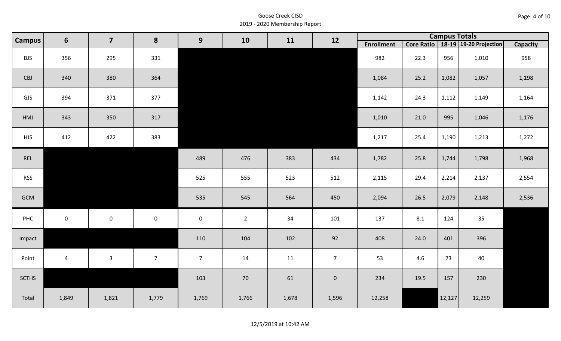| Page: 4 of 10 |  |
|---------------|--|
|---------------|--|

| <b>Campus</b> | $6\phantom{1}$ | $\overline{\mathbf{z}}$ | 8              | 9                   | 10             | 11    | 12             |                   |      | <b>Campus Totals</b> |                                       |          |
|---------------|----------------|-------------------------|----------------|---------------------|----------------|-------|----------------|-------------------|------|----------------------|---------------------------------------|----------|
|               |                |                         |                |                     |                |       |                | <b>Enrollment</b> |      |                      | Core Ratio   18-19   19-20 Projection | Capacity |
| <b>BJS</b>    | 356            | 295                     | 331            |                     |                |       |                | 982               | 22.3 | 956                  | 1,010                                 | 958      |
| CBJ           | 340            | 380                     | 364            |                     |                |       |                | 1,084             | 25.2 | 1,082                | 1,057                                 | 1,198    |
| GJS           | 394            | 371                     | 377            |                     |                |       |                | 1,142             | 24.3 | 1,112                | 1,149                                 | 1,164    |
| HMJ           | 343            | 350                     | 317            |                     |                |       |                | 1,010             | 21.0 | 995                  | 1,046                                 | 1,176    |
| <b>HJS</b>    | 412            | 422                     | 383            |                     |                |       |                | 1,217             | 25.4 | 1,190                | 1,213                                 | 1,272    |
| REL           |                |                         |                | 489                 | 476            | 383   | 434            | 1,782             | 25.8 | 1,744                | 1,798                                 | 1,968    |
| <b>RSS</b>    |                |                         |                | 525                 | 555            | 523   | 512            | 2,115             | 29.4 | 2,214                | 2,137                                 | 2,554    |
| GCM           |                |                         |                | 535                 | 545            | 564   | 450            | 2,094             | 26.5 | 2,079                | 2,148                                 | 2,536    |
| PHC           | $\mathbf 0$    | $\mathsf{O}$            | $\mathsf 0$    | $\mathsf{O}\xspace$ | $\overline{2}$ | 34    | 101            | 137               | 8.1  | 124                  | 35                                    |          |
| Impact        |                |                         |                | 110                 | 104            | 102   | 92             | 408               | 24.0 | 401                  | 396                                   |          |
| Point         | $\overline{4}$ | $\mathbf{3}$            | 7 <sup>7</sup> | 7 <sup>7</sup>      | 14             | 11    | 7 <sup>7</sup> | 53                | 4.6  | 73                   | 40                                    |          |
| <b>SCTHS</b>  |                |                         |                | 103                 | 70             | 61    | $\mathbf 0$    | 234               | 19.5 | 157                  | 230                                   |          |
| Total         | 1,849          | 1,821                   | 1,779          | 1,769               | 1,766          | 1,678 | 1,596          | 12,258            |      | 12,127               | 12,259                                |          |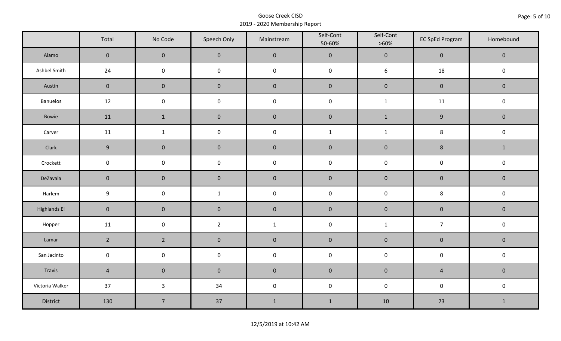|                     | Total               | No Code             | Speech Only         | Mainstream   | Self-Cont<br>50-60% | Self-Cont<br>$>60\%$ | <b>EC SpEd Program</b> | Homebound    |  |
|---------------------|---------------------|---------------------|---------------------|--------------|---------------------|----------------------|------------------------|--------------|--|
| Alamo               | $\mathsf{O}\xspace$ | $\mathbf 0$         | $\mathbf 0$         | $\pmb{0}$    | $\pmb{0}$           | $\pmb{0}$            | $\pmb{0}$              | $\mathbf 0$  |  |
| Ashbel Smith        | 24                  | $\mathsf{O}\xspace$ | $\mathsf{O}\xspace$ | $\pmb{0}$    | $\pmb{0}$           | $\boldsymbol{6}$     | 18                     | $\pmb{0}$    |  |
| Austin              | $\mathbf 0$         | $\mathbf 0$         | $\mathbf 0$         | $\pmb{0}$    | $\pmb{0}$           | $\pmb{0}$            | $\pmb{0}$              | $\pmb{0}$    |  |
| <b>Banuelos</b>     | 12                  | $\mathsf{O}\xspace$ | $\pmb{0}$           | $\pmb{0}$    | $\pmb{0}$           | $\mathbf 1$          | 11                     | $\pmb{0}$    |  |
| Bowie               | 11                  | $\mathbf{1}$        | $\pmb{0}$           | $\pmb{0}$    | $\pmb{0}$           | $\mathbf{1}$         | $\boldsymbol{9}$       | $\mathbf 0$  |  |
| Carver              | 11                  | $\mathbf{1}$        | $\pmb{0}$           | $\pmb{0}$    | $\mathbf{1}$        | $\mathbf{1}$         | 8                      | $\pmb{0}$    |  |
| Clark               | 9                   | $\mathbf 0$         | $\mathbf 0$         | $\pmb{0}$    | $\pmb{0}$           | $\pmb{0}$            | $\bf 8$                | $\mathbf{1}$ |  |
| Crockett            | $\mathsf{O}\xspace$ | $\mathbf 0$         | $\mathbf 0$         | $\pmb{0}$    | $\mathsf 0$         | $\mathsf 0$          | $\pmb{0}$              | $\pmb{0}$    |  |
| DeZavala            | $\mathbf 0$         | $\mathbf 0$         | $\mathbf 0$         | $\pmb{0}$    | $\pmb{0}$           | $\pmb{0}$            | $\pmb{0}$              | $\pmb{0}$    |  |
| Harlem              | $\boldsymbol{9}$    | $\mathsf{O}\xspace$ | $\mathbf{1}$        | $\pmb{0}$    | $\pmb{0}$           | $\pmb{0}$            | $\bf 8$                | $\pmb{0}$    |  |
| <b>Highlands El</b> | $\overline{0}$      | $\mathbf 0$         | $\mathbf 0$         | $\pmb{0}$    | $\pmb{0}$           | $\pmb{0}$            | $\pmb{0}$              | $\mathbf 0$  |  |
| Hopper              | 11                  | $\mathsf{O}\xspace$ | $\overline{2}$      | $\mathbf{1}$ | $\pmb{0}$           | $\mathbf 1$          | $\overline{7}$         | $\pmb{0}$    |  |
| Lamar               | $2^{\circ}$         | $2^{\circ}$         | $\pmb{0}$           | $\pmb{0}$    | $\pmb{0}$           | $\pmb{0}$            | $\pmb{0}$              | $\pmb{0}$    |  |
| San Jacinto         | $\mathbf 0$         | $\mathbf 0$         | $\mathbf 0$         | $\pmb{0}$    | $\pmb{0}$           | $\pmb{0}$            | $\pmb{0}$              | $\pmb{0}$    |  |
| Travis              | $\overline{4}$      | $\mathsf{O}\xspace$ | $\mathbf 0$         | $\pmb{0}$    | $\pmb{0}$           | $\pmb{0}$            | $\sqrt{4}$             | $\mathbf 0$  |  |
| Victoria Walker     | 37                  | $\mathbf{3}$        | 34                  | $\pmb{0}$    | $\pmb{0}$           | $\pmb{0}$            | $\pmb{0}$              | $\pmb{0}$    |  |
| District            | 130                 | $\overline{7}$      | 37                  | $1\,$        | $1\,$               | 10                   | 73                     | $\mathbf{1}$ |  |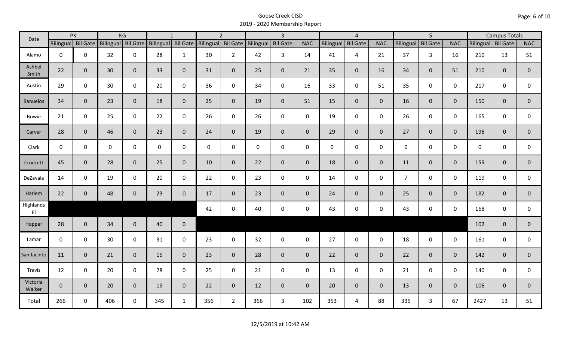| Date               |              | PK                 |     | KG                 |                    | $\mathbf{1}$ |                    | $\overline{2}$ |             | $\overline{3}$  |             |                  | $\overline{4}$  |                |                | 5               |                |                    | <b>Campus Totals</b> |                |
|--------------------|--------------|--------------------|-----|--------------------|--------------------|--------------|--------------------|----------------|-------------|-----------------|-------------|------------------|-----------------|----------------|----------------|-----------------|----------------|--------------------|----------------------|----------------|
|                    |              | Bilingual Bil Gate |     | Bilingual Bil Gate | Bilingual Bil Gate |              | Bilingual Bil Gate |                | Bilingual   | <b>Bil Gate</b> | <b>NAC</b>  | <b>Bilingual</b> | <b>Bil Gate</b> | <b>NAC</b>     | Bilingual      | <b>Bil Gate</b> | <b>NAC</b>     | Bilingual Bil Gate |                      | NAC            |
| Alamo              | $\mathbf 0$  | $\mathsf{O}$       | 32  | $\mathbf 0$        | 28                 | $\mathbf{1}$ | 30                 | $2^{\circ}$    | 42          | $\overline{3}$  | 14          | 41               | $\overline{4}$  | 21             | 37             | $\overline{3}$  | 16             | 210                | 13                   | 51             |
| Ashbel<br>Smith    | 22           | $\mathbf{0}$       | 30  | $\mathbf{0}$       | 33                 | $\mathbf{0}$ | 31                 | $\overline{0}$ | 25          | $\overline{0}$  | 21          | 35               | $\mathbf 0$     | 16             | 34             | $\overline{0}$  | 51             | 210                | $\mathbf{0}$         | $\overline{0}$ |
| Austin             | 29           | $\mathbf 0$        | 30  | $\mathbf 0$        | 20                 | $\mathbf 0$  | 36                 | $\mathbf 0$    | 34          | $\mathsf{O}$    | 16          | 33               | $\mathbf 0$     | 51             | 35             | 0               | $\mathbf 0$    | 217                | 0                    | 0              |
| <b>Banuelos</b>    | 34           | $\mathbf{0}$       | 23  | $\mathbf{0}$       | 18                 | $\mathbf{0}$ | 25                 | $\overline{0}$ | 19          | $\overline{0}$  | 51          | 15               | $\mathbf 0$     | $\overline{0}$ | 16             | $\overline{0}$  | $\overline{0}$ | 150                | $\overline{0}$       | $\mathbf{0}$   |
| Bowie              | 21           | $\mathbf 0$        | 25  | $\mathbf 0$        | 22                 | $\mathbf 0$  | 26                 | $\mathbf{0}$   | 26          | $\mathbf 0$     | $\mathbf 0$ | 19               | $\mathbf 0$     | $\mathsf{O}$   | 26             | 0               | $\mathbf 0$    | 165                | 0                    | 0              |
| Carver             | 28           | $\mathbf{0}$       | 46  | $\mathbf{0}$       | 23                 | $\mathbf{0}$ | 24                 | $\overline{0}$ | 19          | $\overline{0}$  | $\mathbf 0$ | 29               | $\mathbf{0}$    | $\overline{0}$ | 27             | $\overline{0}$  | $\mathbf{0}$   | 196                | $\overline{0}$       | $\mathbf 0$    |
| Clark              | $\mathsf{O}$ | $\mathbf 0$        | 0   | $\mathbf 0$        | 0                  | $\mathbf 0$  | $\mathbf 0$        | $\mathbf 0$    | $\mathbf 0$ | $\mathbf 0$     | $\mathbf 0$ | $\mathbf 0$      | $\mathbf 0$     | $\mathbf 0$    | $\mathbf 0$    | 0               | $\mathbf 0$    | 0                  | 0                    | 0              |
| Crockett           | 45           | $\mathbf{0}$       | 28  | $\overline{0}$     | 25                 | $\mathbf{0}$ | 10                 | $\overline{0}$ | 22          | $\overline{0}$  | $\mathbf 0$ | 18               | $\mathbf{0}$    | $\overline{0}$ | 11             | 0               | $\mathbf{0}$   | 159                | $\overline{0}$       | $\overline{0}$ |
| DeZavala           | 14           | $\mathbf 0$        | 19  | $\mathbf 0$        | 20                 | $\mathbf 0$  | 22                 | $\mathbf 0$    | 23          | $\mathbf 0$     | $\mathbf 0$ | 14               | $\mathbf 0$     | $\mathsf{O}$   | $\overline{7}$ | 0               | $\mathbf 0$    | 119                | 0                    | 0              |
| Harlem             | 22           | $\mathbf 0$        | 48  | $\mathbf 0$        | 23                 | $\mathbf{0}$ | 17                 | $\overline{0}$ | 23          | $\overline{0}$  | $\mathbf 0$ | 24               | $\mathbf{0}$    | $\mathbf{0}$   | 25             | $\overline{0}$  | $\mathbf{0}$   | 182                | $\mathbf{0}$         | $\mathbf 0$    |
| Highlands<br>EI    |              |                    |     |                    |                    |              | 42                 | $\mathsf{O}$   | 40          | 0               | $\mathbf 0$ | 43               | $\mathbf 0$     | $\mathbf 0$    | 43             | 0               | $\mathbf 0$    | 168                | $\mathbf 0$          | 0              |
| Hopper             | 28           | $\mathbf{0}$       | 34  | $\overline{0}$     | 40                 | $\mathbf 0$  |                    |                |             |                 |             |                  |                 |                |                |                 |                | 102                | $\mathbf{0}$         | $\overline{0}$ |
| Lamar              | $\mathbf 0$  | $\mathbf 0$        | 30  | $\mathbf 0$        | 31                 | $\mathbf 0$  | 23                 | $\mathbf 0$    | 32          | $\mathsf{O}$    | $\mathbf 0$ | 27               | $\mathsf 0$     | $\mathbf 0$    | 18             | 0               | $\mathbf 0$    | 161                | $\mathbf 0$          | 0              |
| San Jacinto        | 11           | $\mathbf 0$        | 21  | $\overline{0}$     | 15                 | $\mathbf{0}$ | 23                 | $\overline{0}$ | 28          | $\overline{0}$  | $\mathbf 0$ | 22               | $\overline{0}$  | $\overline{0}$ | 22             | $\overline{0}$  | $\mathbf{0}$   | 142                | $\mathbf{0}$         | $\pmb{0}$      |
| Travis             | 12           | $\mathbf{0}$       | 20  | $\mathbf 0$        | 28                 | $\mathbf 0$  | 25                 | $\mathbf{0}$   | 21          | $\mathsf{O}$    | $\mathbf 0$ | 13               | $\mathsf 0$     | $\mathbf 0$    | 21             | $\mathbf 0$     | $\mathbf 0$    | 140                | 0                    | 0              |
| Victoria<br>Walker | $\mathbf{0}$ | $\mathbf{0}$       | 20  | $\overline{0}$     | 19                 | $\mathbf{0}$ | 22                 | $\overline{0}$ | 12          | $\overline{0}$  | $\mathbf 0$ | 20               | $\mathbf{0}$    | $\overline{0}$ | 13             | 0               | $\mathbf{0}$   | 106                | $\mathbf{0}$         | $\mathbf 0$    |
| Total              | 266          | $\mathbf 0$        | 406 | $\mathbf 0$        | 345                | $\mathbf{1}$ | 356                | $2^{\circ}$    | 366         | $\mathbf{3}$    | 102         | 353              | $\overline{4}$  | 88             | 335            | $\mathbf{3}$    | 67             | 2427               | 13                   | 51             |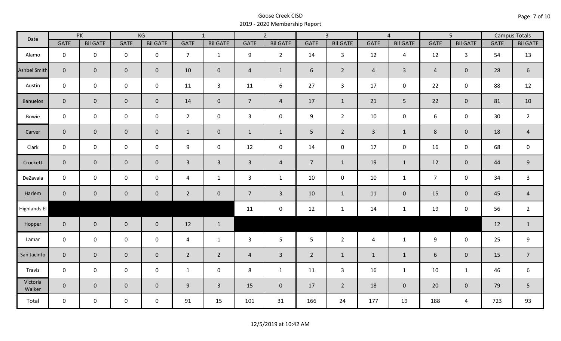| Date                |                | PK              |                     | KG              |                | $\overline{1}$  |                | $\overline{2}$  |                | $\overline{3}$  |                | $\overline{4}$  |                | $\overline{5}$  |             | <b>Campus Totals</b> |
|---------------------|----------------|-----------------|---------------------|-----------------|----------------|-----------------|----------------|-----------------|----------------|-----------------|----------------|-----------------|----------------|-----------------|-------------|----------------------|
|                     | <b>GATE</b>    | <b>Bil GATE</b> | <b>GATE</b>         | <b>Bil GATE</b> | <b>GATE</b>    | <b>Bil GATE</b> | <b>GATE</b>    | <b>Bil GATE</b> | <b>GATE</b>    | <b>Bil GATE</b> | <b>GATE</b>    | <b>Bil GATE</b> | <b>GATE</b>    | <b>Bil GATE</b> | <b>GATE</b> | <b>Bil GATE</b>      |
| Alamo               | $\mathbf{0}$   | $\mathbf 0$     | $\mathbf 0$         | $\mathbf 0$     | $\overline{7}$ | $\mathbf{1}$    | 9              | $\overline{2}$  | 14             | 3               | 12             | $\overline{4}$  | 12             | $\mathbf{3}$    | 54          | 13                   |
| <b>Ashbel Smith</b> | $\mathbf{0}$   | $\overline{0}$  | $\mathbf 0$         | $\overline{0}$  | 10             | $\mathbf 0$     | $\overline{4}$ | $\mathbf{1}$    | 6              | $\overline{2}$  | $\overline{4}$ | $\mathbf{3}$    | $\overline{4}$ | $\mathbf{0}$    | 28          | $\boldsymbol{6}$     |
| Austin              | $\mathbf 0$    | $\mathbf 0$     | $\mathbf 0$         | $\mathbf 0$     | 11             | $\mathbf{3}$    | 11             | 6               | 27             | $\mathbf{3}$    | 17             | 0               | 22             | $\mathbf 0$     | 88          | 12                   |
| <b>Banuelos</b>     | $\overline{0}$ | $\mathbf{0}$    | $\mathbf 0$         | $\overline{0}$  | 14             | $\mathbf{0}$    | $\overline{7}$ | $\overline{4}$  | 17             | $\mathbf{1}$    | 21             | 5               | 22             | $\overline{0}$  | 81          | 10                   |
| Bowie               | $\mathbf 0$    | $\mathbf 0$     | $\mathsf{O}\xspace$ | $\mathbf 0$     | $2^{\circ}$    | $\mathbf 0$     | $\mathbf{3}$   | $\mathbf 0$     | 9              | $2^{\circ}$     | 10             | 0               | 6              | $\mathbf 0$     | 30          | $\overline{2}$       |
| Carver              | $\overline{0}$ | $\mathbf 0$     | $\mathbf 0$         | $\overline{0}$  | $\mathbf{1}$   | $\mathbf 0$     | $\mathbf{1}$   | $\mathbf{1}$    | 5 <sub>1</sub> | $\overline{2}$  | $\overline{3}$ | $\mathbf{1}$    | $8\phantom{1}$ | $\mathbf{0}$    | 18          | $\overline{4}$       |
| Clark               | $\mathbf 0$    | $\mathbf 0$     | $\pmb{0}$           | 0               | 9              | $\mathbf 0$     | 12             | $\mathbf 0$     | 14             | $\mathbf 0$     | 17             | $\mathbf 0$     | 16             | $\mathbf 0$     | 68          | $\mathbf 0$          |
| Crockett            | $\overline{0}$ | $\mathbf{0}$    | $\mathbf 0$         | $\overline{0}$  | $\mathbf{3}$   | $\overline{3}$  | $\overline{3}$ | $\overline{4}$  | 7 <sup>7</sup> | $\mathbf{1}$    | 19             | $\mathbf{1}$    | 12             | $\mathbf 0$     | 44          | $9\,$                |
| DeZavala            | $\mathbf 0$    | $\mathbf 0$     | $\mathbf 0$         | $\mathbf 0$     | 4              | $\mathbf{1}$    | 3              | $\mathbf{1}$    | 10             | $\mathbf 0$     | 10             | $\mathbf{1}$    | $\overline{7}$ | $\mathbf 0$     | 34          | 3                    |
| Harlem              | $\overline{0}$ | $\overline{0}$  | $\mathbf 0$         | $\mathbf{0}$    | $\overline{2}$ | $\overline{0}$  | $\overline{7}$ | $\overline{3}$  | 10             | $\mathbf{1}$    | 11             | $\mathbf{0}$    | 15             | $\mathbf 0$     | 45          | $\overline{4}$       |
| Highlands El        |                |                 |                     |                 |                |                 | 11             | $\mathbf 0$     | 12             | $\mathbf{1}$    | 14             | $\mathbf{1}$    | 19             | $\mathbf 0$     | 56          | $\overline{2}$       |
| Hopper              | $\overline{0}$ | $\overline{0}$  | $\mathbf 0$         | $\overline{0}$  | 12             | $\mathbf{1}$    |                |                 |                |                 |                |                 |                |                 | 12          | $\mathbf{1}$         |
| Lamar               | $\mathbf 0$    | $\mathbf 0$     | $\mathbf 0$         | $\mathbf 0$     | $\overline{4}$ | $\mathbf{1}$    | 3              | 5               | 5              | $\overline{2}$  | $\overline{4}$ | $\mathbf{1}$    | 9              | $\mathbf 0$     | 25          | 9                    |
| San Jacinto         | $\mathbf 0$    | $\overline{0}$  | $\mathbf 0$         | $\mathbf 0$     | $\overline{2}$ | $\overline{2}$  | $\overline{4}$ | $\overline{3}$  | $\overline{2}$ | $\mathbf{1}$    | $\mathbf{1}$   | $\mathbf{1}$    | 6              | $\mathbf 0$     | 15          | $\overline{7}$       |
| Travis              | $\mathbf 0$    | $\mathbf 0$     | $\mathsf 0$         | $\mathbf 0$     | $\mathbf{1}$   | $\mathbf 0$     | 8              | $\mathbf{1}$    | 11             | $\mathbf{3}$    | 16             | $\mathbf{1}$    | 10             | $\mathbf{1}$    | 46          | 6                    |
| Victoria<br>Walker  | $\overline{0}$ | $\mathbf 0$     | $\mathbf 0$         | $\mathbf{0}$    | 9              | $\overline{3}$  | 15             | $\mathbf{0}$    | 17             | $\overline{2}$  | 18             | $\mathbf 0$     | 20             | $\overline{0}$  | 79          | 5                    |
| Total               | $\mathbf 0$    | $\mathbf 0$     | $\mathsf{O}$        | $\mathbf 0$     | 91             | 15              | 101            | 31              | 166            | 24              | 177            | 19              | 188            | 4               | 723         | 93                   |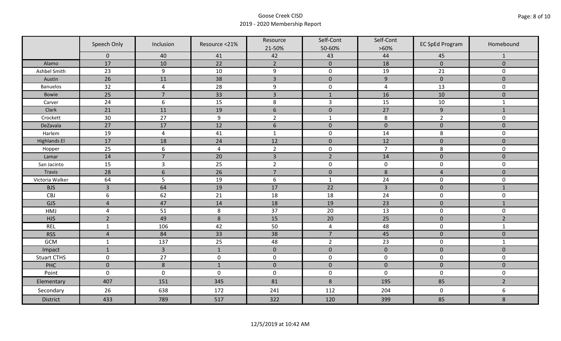|                     | Speech Only      | Inclusion        | Resource <21%  | Resource<br>21-50% | Self-Cont<br>50-60% | Self-Cont<br>$>60\%$ | <b>EC SpEd Program</b> | Homebound      |
|---------------------|------------------|------------------|----------------|--------------------|---------------------|----------------------|------------------------|----------------|
|                     | $\mathbf 0$      | 40               | 41             | 42                 | 43                  | 44                   | 45                     | $\mathbf{1}$   |
| Alamo               | 17               | 10               | 22             | $\overline{2}$     | $\mathbf 0$         | 18                   | $\mathbf 0$            | $\mathbf{0}$   |
| Ashbel Smith        | 23               | 9                | 10             | $\boldsymbol{9}$   | $\pmb{0}$           | 19                   | 21                     | 0              |
| Austin              | 26               | 11               | 38             | $\overline{3}$     | $\mathbf 0$         | $\boldsymbol{9}$     | $\mathbf 0$            | $\overline{0}$ |
| <b>Banuelos</b>     | 32               | $\overline{4}$   | 28             | $\boldsymbol{9}$   | $\pmb{0}$           | $\overline{a}$       | 13                     | 0              |
| Bowie               | 25               | $\overline{7}$   | 33             | $\overline{3}$     | $\mathbf{1}$        | 16                   | 10                     | $\mathbf 0$    |
| Carver              | 24               | $\boldsymbol{6}$ | 15             | $\,8\,$            | $\mathsf{3}$        | 15                   | 10                     | $\mathbf{1}$   |
| Clark               | 21               | 11               | 19             | $6\phantom{1}$     | $\mathbf 0$         | 27                   | $\overline{9}$         | $1\,$          |
| Crockett            | 30               | 27               | 9              | $\overline{2}$     | $\mathbf{1}$        | $\,8\,$              | $\overline{2}$         | 0              |
| DeZavala            | 27               | 17               | 12             | $\boldsymbol{6}$   | $\pmb{0}$           | $\pmb{0}$            | $\pmb{0}$              | $\mathbf 0$    |
| Harlem              | 19               | $\overline{4}$   | 41             | $\mathbf{1}$       | $\pmb{0}$           | 14                   | 8                      | 0              |
| <b>Highlands El</b> | 17               | 18               | 24             | 12                 | $\pmb{0}$           | 12                   | $\pmb{0}$              | $\mathbf 0$    |
| Hopper              | 25               | 6                | $\overline{4}$ | $\overline{2}$     | $\pmb{0}$           | $\overline{7}$       | 8                      | 0              |
| Lamar               | 14               | $\overline{7}$   | 20             | $\overline{3}$     | $\overline{2}$      | 14                   | $\mathbf 0$            | $\overline{0}$ |
| San Jacinto         | 15               | $\mathbf{3}$     | 25             | $\overline{2}$     | $\pmb{0}$           | $\pmb{0}$            | $\pmb{0}$              | 0              |
| Travis              | 28               | $6\,$            | 26             | $\overline{7}$     | $\pmb{0}$           | $\,8\,$              | $\overline{4}$         | $\mathbf 0$    |
| Victoria Walker     | 64               | 5                | 19             | $\boldsymbol{6}$   | $\mathbf{1}$        | 24                   | $\pmb{0}$              | 0              |
| <b>BJS</b>          | $\overline{3}$   | 64               | 19             | 17                 | 22                  | $\overline{3}$       | $\pmb{0}$              | $\mathbf{1}$   |
| CBJ                 | $\boldsymbol{6}$ | 62               | 21             | 18                 | 18                  | 24                   | $\pmb{0}$              | 0              |
| GJS                 | $\overline{4}$   | 47               | 14             | 18                 | 19                  | 23                   | $\pmb{0}$              | $\mathbf{1}$   |
| HMJ                 | $\overline{4}$   | 51               | 8              | 37                 | 20                  | 13                   | $\mathbf 0$            | 0              |
| <b>HJS</b>          | $\overline{2}$   | 49               | 8              | 15                 | 20                  | 25                   | $\mathbf 0$            | $\overline{2}$ |
| <b>REL</b>          | $\mathbf{1}$     | 106              | 42             | 50                 | $\pmb{4}$           | 48                   | $\pmb{0}$              | $\mathbf{1}$   |
| <b>RSS</b>          | $\overline{4}$   | 84               | 33             | 38                 | $\overline{7}$      | 45                   | $\mathbf 0$            | $\mathbf{0}$   |
| <b>GCM</b>          | $\mathbf{1}$     | 137              | 25             | 48                 | $\overline{2}$      | 23                   | $\pmb{0}$              | $\mathbf{1}$   |
| Impact              | $\mathbf{1}$     | $\overline{3}$   | $\mathbf{1}$   | $\mathbf 0$        | $\pmb{0}$           | $\pmb{0}$            | $\pmb{0}$              | $\mathbf 0$    |
| <b>Stuart CTHS</b>  | $\mathsf 0$      | 27               | $\pmb{0}$      | $\pmb{0}$          | $\pmb{0}$           | $\pmb{0}$            | $\pmb{0}$              | 0              |
| PHC                 | $\mathbf 0$      | 8                | $\mathbf{1}$   | $\mathbf 0$        | $\mathbf 0$         | $\mathbf 0$          | $\mathbf 0$            | $\mathbf 0$    |
| Point               | $\mathsf 0$      | $\pmb{0}$        | $\pmb{0}$      | $\pmb{0}$          | $\pmb{0}$           | $\mathbf 0$          | $\pmb{0}$              | 0              |
| Elementary          | 407              | 151              | 345            | 81                 | $\,8\,$             | 195                  | 85                     | $\overline{2}$ |
| Secondary           | 26               | 638              | 172            | 241                | 112                 | 204                  | $\pmb{0}$              | 6              |
| <b>District</b>     | 433              | 789              | 517            | 322                | 120                 | 399                  | 85                     | $\bf 8$        |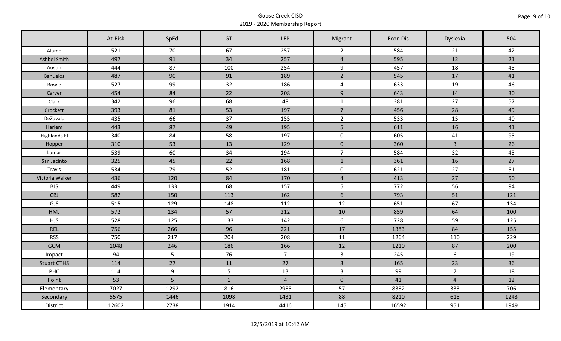|                     | At-Risk | SpEd | GT           | <b>LEP</b>     | Migrant             | Econ Dis | Dyslexia       | 504  |
|---------------------|---------|------|--------------|----------------|---------------------|----------|----------------|------|
| Alamo               | 521     | 70   | 67           | 257            | $\overline{2}$      | 584      | 21             | 42   |
| Ashbel Smith        | 497     | 91   | 34           | 257            | $\overline{4}$      | 595      | 12             | 21   |
| Austin              | 444     | 87   | 100          | 254            | 9                   | 457      | 18             | 45   |
| <b>Banuelos</b>     | 487     | 90   | 91           | 189            | $\overline{2}$      | 545      | 17             | 41   |
| Bowie               | 527     | 99   | 32           | 186            | $\overline{4}$      | 633      | 19             | 46   |
| Carver              | 454     | 84   | 22           | 208            | 9                   | 643      | 14             | 30   |
| Clark               | 342     | 96   | 68           | 48             | $\mathbf{1}$        | 381      | 27             | 57   |
| Crockett            | 393     | 81   | 53           | 197            | $\overline{7}$      | 456      | 28             | 49   |
| DeZavala            | 435     | 66   | 37           | 155            | $\overline{2}$      | 533      | 15             | 40   |
| Harlem              | 443     | 87   | 49           | 195            | 5 <sub>1</sub>      | 611      | 16             | 41   |
| <b>Highlands El</b> | 340     | 84   | 58           | 197            | $\mathbf 0$         | 605      | 41             | 95   |
| Hopper              | 310     | 53   | 13           | 129            | $\mathbf 0$         | 360      | $\mathbf{3}$   | 26   |
| Lamar               | 539     | 60   | 34           | 194            | $\overline{7}$      | 584      | 32             | 45   |
| San Jacinto         | 325     | 45   | 22           | 168            | $\mathbf{1}$        | 361      | 16             | 27   |
| Travis              | 534     | 79   | 52           | 181            | $\mathsf{O}\xspace$ | 621      | 27             | 51   |
| Victoria Walker     | 436     | 120  | 84           | 170            | $\overline{4}$      | 413      | 27             | 50   |
| <b>BJS</b>          | 449     | 133  | 68           | 157            | $5\phantom{.}$      | 772      | 56             | 94   |
| CBJ                 | 582     | 150  | 113          | 162            | $6\phantom{a}$      | 793      | 51             | 121  |
| GJS                 | 515     | 129  | 148          | 112            | 12                  | 651      | 67             | 134  |
| HMJ                 | 572     | 134  | 57           | 212            | 10                  | 859      | 64             | 100  |
| <b>HJS</b>          | 528     | 125  | 133          | 142            | 6                   | 728      | 59             | 125  |
| <b>REL</b>          | 756     | 266  | 96           | 221            | 17                  | 1383     | 84             | 155  |
| <b>RSS</b>          | 750     | 217  | 204          | 208            | 11                  | 1264     | 110            | 229  |
| <b>GCM</b>          | 1048    | 246  | 186          | 166            | 12                  | 1210     | 87             | 200  |
| Impact              | 94      | 5    | 76           | 7 <sup>7</sup> | $\mathbf{3}$        | 245      | 6              | 19   |
| <b>Stuart CTHS</b>  | 114     | 27   | 11           | 27             | $\overline{3}$      | 165      | 23             | 36   |
| PHC                 | 114     | 9    | 5            | 13             | $\mathbf{3}$        | 99       | $\overline{7}$ | 18   |
| Point               | 53      | 5    | $\mathbf{1}$ | $\overline{4}$ | $\mathbf 0$         | 41       | $\overline{4}$ | 12   |
| Elementary          | 7027    | 1292 | 816          | 2985           | 57                  | 8382     | 333            | 706  |
| Secondary           | 5575    | 1446 | 1098         | 1431           | 88                  | 8210     | 618            | 1243 |
| District            | 12602   | 2738 | 1914         | 4416           | 145                 | 16592    | 951            | 1949 |